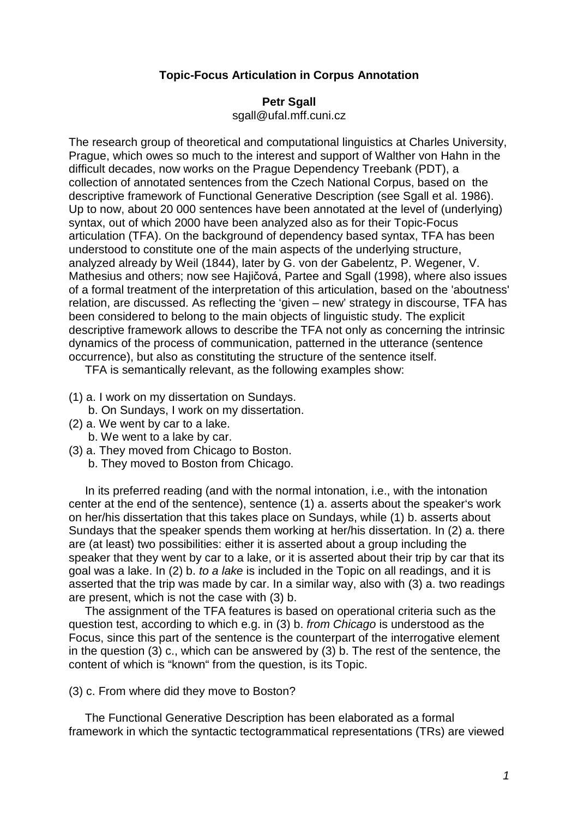## **Topic-Focus Articulation in Corpus Annotation**

## **Petr Sgall**

sgall@ufal.mff.cuni.cz

The research group of theoretical and computational linguistics at Charles University, Prague, which owes so much to the interest and support of Walther von Hahn in the difficult decades, now works on the Prague Dependency Treebank (PDT), a collection of annotated sentences from the Czech National Corpus, based on the descriptive framework of Functional Generative Description (see Sgall et al. 1986). Up to now, about 20 000 sentences have been annotated at the level of (underlying) syntax, out of which 2000 have been analyzed also as for their Topic-Focus articulation (TFA). On the background of dependency based syntax, TFA has been understood to constitute one of the main aspects of the underlying structure, analyzed already by Weil (1844), later by G. von der Gabelentz, P. Wegener, V. Mathesius and others; now see Hajičová, Partee and Sgall (1998), where also issues of a formal treatment of the interpretation of this articulation, based on the 'aboutness' relation, are discussed. As reflecting the 'given – new' strategy in discourse, TFA has been considered to belong to the main objects of linguistic study. The explicit descriptive framework allows to describe the TFA not only as concerning the intrinsic dynamics of the process of communication, patterned in the utterance (sentence occurrence), but also as constituting the structure of the sentence itself.

TFA is semantically relevant, as the following examples show:

- (1) a. I work on my dissertation on Sundays.
- b. On Sundays, I work on my dissertation.
- (2) a. We went by car to a lake.
	- b. We went to a lake by car.
- (3) a. They moved from Chicago to Boston.
	- b. They moved to Boston from Chicago.

 In its preferred reading (and with the normal intonation, i.e., with the intonation center at the end of the sentence), sentence (1) a. asserts about the speaker's work on her/his dissertation that this takes place on Sundays, while (1) b. asserts about Sundays that the speaker spends them working at her/his dissertation. In (2) a. there are (at least) two possibilities: either it is asserted about a group including the speaker that they went by car to a lake, or it is asserted about their trip by car that its goal was a lake. In (2) b. to a lake is included in the Topic on all readings, and it is asserted that the trip was made by car. In a similar way, also with (3) a. two readings are present, which is not the case with (3) b.

 The assignment of the TFA features is based on operational criteria such as the question test, according to which e.g. in (3) b. from Chicago is understood as the Focus, since this part of the sentence is the counterpart of the interrogative element in the question (3) c., which can be answered by (3) b. The rest of the sentence, the content of which is "known" from the question, is its Topic.

## (3) c. From where did they move to Boston?

 The Functional Generative Description has been elaborated as a formal framework in which the syntactic tectogrammatical representations (TRs) are viewed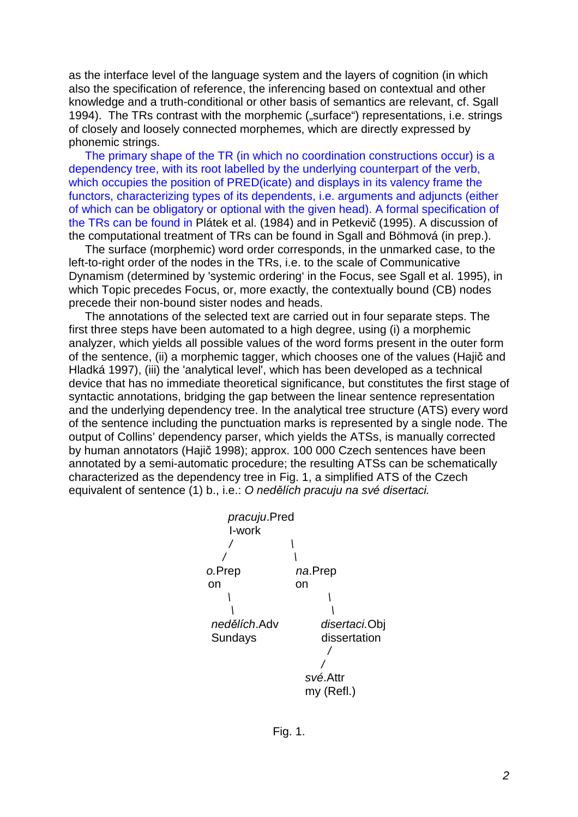as the interface level of the language system and the layers of cognition (in which also the specification of reference, the inferencing based on contextual and other knowledge and a truth-conditional or other basis of semantics are relevant, cf. Sgall 1994). The TRs contrast with the morphemic ("surface") representations, i.e. strings of closely and loosely connected morphemes, which are directly expressed by phonemic strings.

 The primary shape of the TR (in which no coordination constructions occur) is a dependency tree, with its root labelled by the underlying counterpart of the verb, which occupies the position of PRED(icate) and displays in its valency frame the functors, characterizing types of its dependents, i.e. arguments and adjuncts (either of which can be obligatory or optional with the given head). A formal specification of the TRs can be found in Plátek et al. (1984) and in Petkevič (1995). A discussion of the computational treatment of TRs can be found in Sgall and Böhmová (in prep.).

 The surface (morphemic) word order corresponds, in the unmarked case, to the left-to-right order of the nodes in the TRs, i.e. to the scale of Communicative Dynamism (determined by 'systemic ordering' in the Focus, see Sgall et al. 1995), in which Topic precedes Focus, or, more exactly, the contextually bound (CB) nodes precede their non-bound sister nodes and heads.

 The annotations of the selected text are carried out in four separate steps. The first three steps have been automated to a high degree, using (i) a morphemic analyzer, which yields all possible values of the word forms present in the outer form of the sentence, (ii) a morphemic tagger, which chooses one of the values (Hajič and Hladká 1997), (iii) the 'analytical level', which has been developed as a technical device that has no immediate theoretical significance, but constitutes the first stage of syntactic annotations, bridging the gap between the linear sentence representation and the underlying dependency tree. In the analytical tree structure (ATS) every word of the sentence including the punctuation marks is represented by a single node. The output of Collins' dependency parser, which yields the ATSs, is manually corrected by human annotators (Hajič 1998); approx. 100 000 Czech sentences have been annotated by a semi-automatic procedure; the resulting ATSs can be schematically characterized as the dependency tree in Fig. 1, a simplified ATS of the Czech equivalent of sentence (1) b., i.e.: O nedělích pracuju na své disertaci.



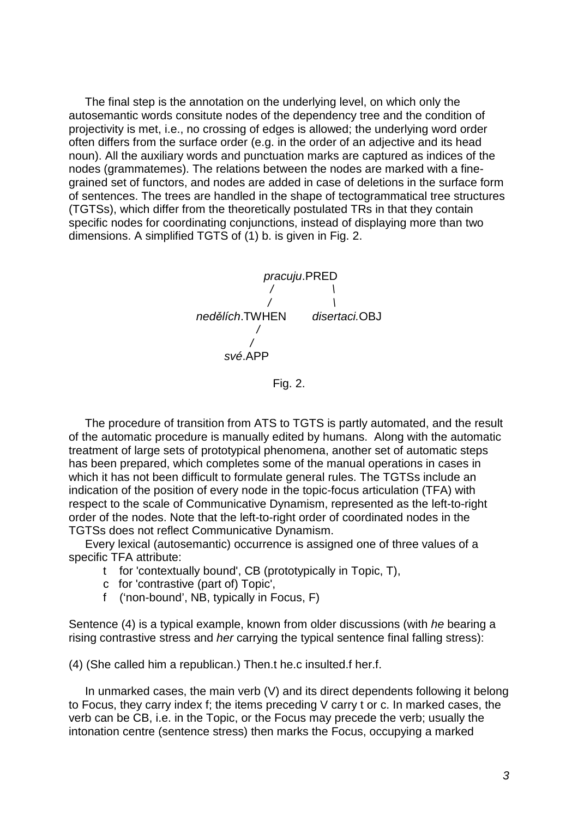The final step is the annotation on the underlying level, on which only the autosemantic words consitute nodes of the dependency tree and the condition of projectivity is met, i.e., no crossing of edges is allowed; the underlying word order often differs from the surface order (e.g. in the order of an adjective and its head noun). All the auxiliary words and punctuation marks are captured as indices of the nodes (grammatemes). The relations between the nodes are marked with a finegrained set of functors, and nodes are added in case of deletions in the surface form of sentences. The trees are handled in the shape of tectogrammatical tree structures (TGTSs), which differ from the theoretically postulated TRs in that they contain specific nodes for coordinating conjunctions, instead of displaying more than two dimensions. A simplified TGTS of (1) b. is given in Fig. 2.



Fig. 2.

 The procedure of transition from ATS to TGTS is partly automated, and the result of the automatic procedure is manually edited by humans. Along with the automatic treatment of large sets of prototypical phenomena, another set of automatic steps has been prepared, which completes some of the manual operations in cases in which it has not been difficult to formulate general rules. The TGTSs include an indication of the position of every node in the topic-focus articulation (TFA) with respect to the scale of Communicative Dynamism, represented as the left-to-right order of the nodes. Note that the left-to-right order of coordinated nodes in the TGTSs does not reflect Communicative Dynamism.

 Every lexical (autosemantic) occurrence is assigned one of three values of a specific TFA attribute:

- t for 'contextually bound', CB (prototypically in Topic, T),
- c for 'contrastive (part of) Topic',
- f ('non-bound', NB, typically in Focus, F)

Sentence (4) is a typical example, known from older discussions (with he bearing a rising contrastive stress and her carrying the typical sentence final falling stress):

(4) (She called him a republican.) Then.t he.c insulted.f her.f.

 In unmarked cases, the main verb (V) and its direct dependents following it belong to Focus, they carry index f; the items preceding V carry t or c. In marked cases, the verb can be CB, i.e. in the Topic, or the Focus may precede the verb; usually the intonation centre (sentence stress) then marks the Focus, occupying a marked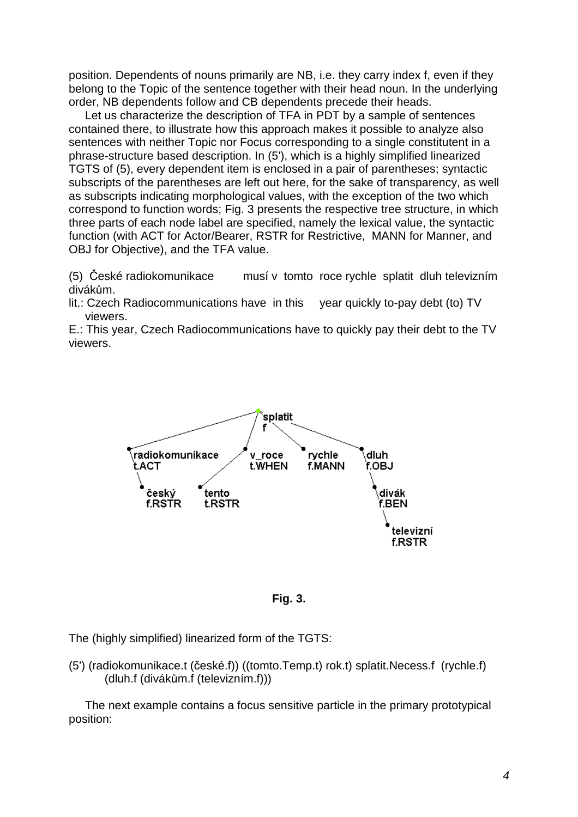position. Dependents of nouns primarily are NB, i.e. they carry index f, even if they belong to the Topic of the sentence together with their head noun. In the underlying order, NB dependents follow and CB dependents precede their heads.

 Let us characterize the description of TFA in PDT by a sample of sentences contained there, to illustrate how this approach makes it possible to analyze also sentences with neither Topic nor Focus corresponding to a single constitutent in a phrase-structure based description. In (5'), which is a highly simplified linearized TGTS of (5), every dependent item is enclosed in a pair of parentheses; syntactic subscripts of the parentheses are left out here, for the sake of transparency, as well as subscripts indicating morphological values, with the exception of the two which correspond to function words; Fig. 3 presents the respective tree structure, in which three parts of each node label are specified, namely the lexical value, the syntactic function (with ACT for Actor/Bearer, RSTR for Restrictive, MANN for Manner, and OBJ for Objective), and the TFA value.

(5) České radiokomunikace musí v tomto roce rychle splatit dluh televizním divákům.

lit.: Czech Radiocommunications have in this year quickly to-pay debt (to) TV viewers.

E.: This year, Czech Radiocommunications have to quickly pay their debt to the TV viewers.





The (highly simplified) linearized form of the TGTS:

(5') (radiokomunikace.t (české.f)) ((tomto.Temp.t) rok.t) splatit.Necess.f (rychle.f) (dluh.f (divákům.f (televizním.f)))

 The next example contains a focus sensitive particle in the primary prototypical position: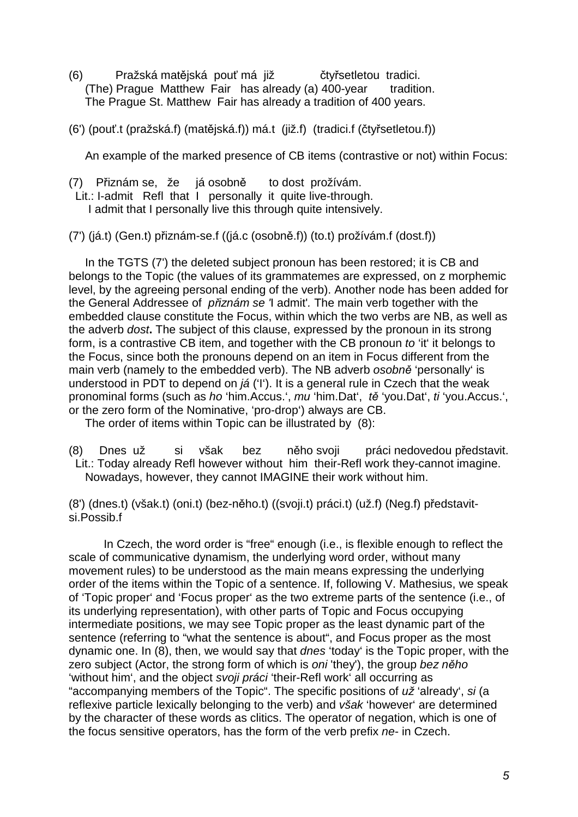(6) Pražská matějská pouť má již čtyřsetletou tradici. (The) Prague Matthew Fair has already (a) 400-year tradition. The Prague St. Matthew Fair has already a tradition of 400 years.

(6') (pouť.t (pražská.f) (matějská.f)) má.t (již.f) (tradici.f (čtyřsetletou.f))

An example of the marked presence of CB items (contrastive or not) within Focus:

(7) Přiznám se, že já osobně to dost prožívám. Lit.: I-admit Refl that I personally it quite live-through. I admit that I personally live this through quite intensively.

(7') (já.t) (Gen.t) přiznám-se.f ((já.c (osobně.f)) (to.t) prožívám.f (dost.f))

 In the TGTS (7') the deleted subject pronoun has been restored; it is CB and belongs to the Topic (the values of its grammatemes are expressed, on z morphemic level, by the agreeing personal ending of the verb). Another node has been added for the General Addressee of přiznám se 'I admit'. The main verb together with the embedded clause constitute the Focus, within which the two verbs are NB, as well as the adverb dost**.** The subject of this clause, expressed by the pronoun in its strong form, is a contrastive CB item, and together with the CB pronoun to 'it' it belongs to the Focus, since both the pronouns depend on an item in Focus different from the main verb (namely to the embedded verb). The NB adverb osobně 'personally' is understood in PDT to depend on *iá* ('I'). It is a general rule in Czech that the weak pronominal forms (such as ho 'him.Accus.', mu 'him.Dat', tě 'you.Dat', ti 'you.Accus.', or the zero form of the Nominative, 'pro-drop') always are CB.

The order of items within Topic can be illustrated by (8):

(8) Dnes už si však bez něho svoji práci nedovedou představit. Lit.: Today already Refl however without him their-Refl work they-cannot imagine. Nowadays, however, they cannot IMAGINE their work without him.

(8') (dnes.t) (však.t) (oni.t) (bez-něho.t) ((svoji.t) práci.t) (už.f) (Neg.f) představitsi.Possib.f

In Czech, the word order is "free" enough (i.e., is flexible enough to reflect the scale of communicative dynamism, the underlying word order, without many movement rules) to be understood as the main means expressing the underlying order of the items within the Topic of a sentence. If, following V. Mathesius, we speak of 'Topic proper' and 'Focus proper' as the two extreme parts of the sentence (i.e., of its underlying representation), with other parts of Topic and Focus occupying intermediate positions, we may see Topic proper as the least dynamic part of the sentence (referring to "what the sentence is about", and Focus proper as the most dynamic one. In (8), then, we would say that dnes 'today' is the Topic proper, with the zero subject (Actor, the strong form of which is oni 'they'), the group bez něho 'without him', and the object svoji práci 'their-Refl work' all occurring as "accompanying members of the Topic". The specific positions of už 'already', si (a reflexive particle lexically belonging to the verb) and však 'however' are determined by the character of these words as clitics. The operator of negation, which is one of the focus sensitive operators, has the form of the verb prefix ne- in Czech.